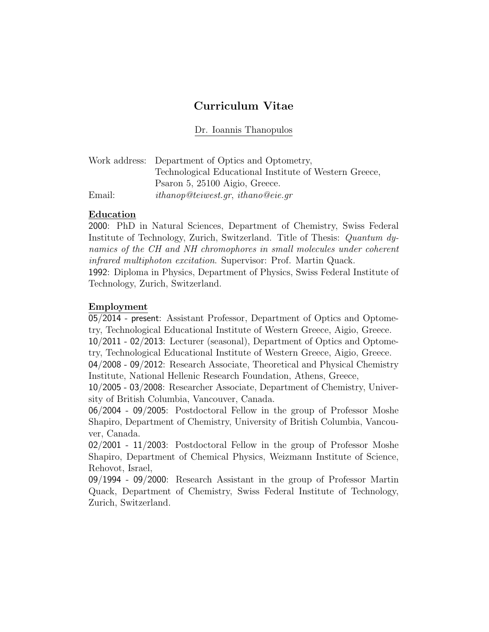# Curriculum Vitae

Dr. Ioannis Thanopulos

|        | Work address: Department of Optics and Optometry,      |
|--------|--------------------------------------------------------|
|        | Technological Educational Institute of Western Greece, |
|        | Psaron 5, 25100 Aigio, Greece.                         |
| Email: | ithanop@teiwest.gr, ithano@eie.gr                      |

## **Education**

2000: PhD in Natural Sciences, Department of Chemistry, Swiss Federal Institute of Technology, Zurich, Switzerland. Title of Thesis: Quantum dynamics of the CH and NH chromophores in small molecules under coherent infrared multiphoton excitation. Supervisor: Prof. Martin Quack.

1992: Diploma in Physics, Department of Physics, Swiss Federal Institute of Technology, Zurich, Switzerland.

# Employment

05/2014 - present: Assistant Professor, Department of Optics and Optometry, Technological Educational Institute of Western Greece, Aigio, Greece.

10/2011 - 02/2013: Lecturer (seasonal), Department of Optics and Optometry, Technological Educational Institute of Western Greece, Aigio, Greece.

04/2008 - 09/2012: Research Associate, Theoretical and Physical Chemistry Institute, National Hellenic Research Foundation, Athens, Greece,

10/2005 - 03/2008: Researcher Associate, Department of Chemistry, University of British Columbia, Vancouver, Canada.

06/2004 - 09/2005: Postdoctoral Fellow in the group of Professor Moshe Shapiro, Department of Chemistry, University of British Columbia, Vancouver, Canada.

02/2001 - 11/2003: Postdoctoral Fellow in the group of Professor Moshe Shapiro, Department of Chemical Physics, Weizmann Institute of Science, Rehovot, Israel,

09/1994 - 09/2000: Research Assistant in the group of Professor Martin Quack, Department of Chemistry, Swiss Federal Institute of Technology, Zurich, Switzerland.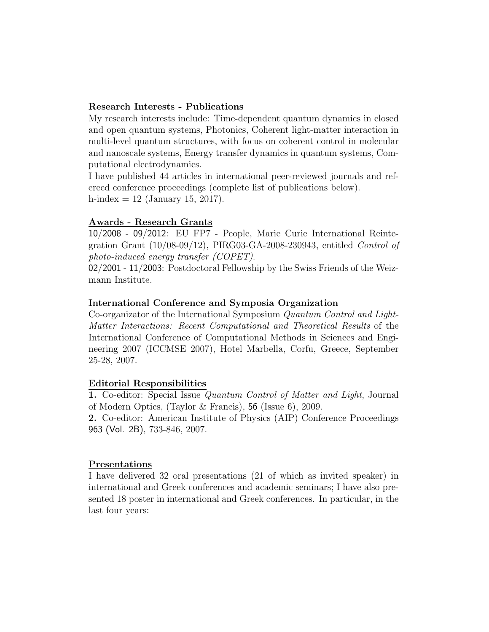## Research Interests - Publications

My research interests include: Time-dependent quantum dynamics in closed and open quantum systems, Photonics, Coherent light-matter interaction in multi-level quantum structures, with focus on coherent control in molecular and nanoscale systems, Energy transfer dynamics in quantum systems, Computational electrodynamics.

I have published 44 articles in international peer-reviewed journals and refereed conference proceedings (complete list of publications below). h-index  $= 12$  (January 15, 2017).

## Awards - Research Grants

10/2008 - 09/2012: EU FP7 - People, Marie Curie International Reintegration Grant (10/08-09/12), PIRG03-GA-2008-230943, entitled Control of photo-induced energy transfer (COPET).

02/2001 - 11/2003: Postdoctoral Fellowship by the Swiss Friends of the Weizmann Institute.

#### International Conference and Symposia Organization

Co-organizator of the International Symposium Quantum Control and Light-Matter Interactions: Recent Computational and Theoretical Results of the International Conference of Computational Methods in Sciences and Engineering 2007 (ICCMSE 2007), Hotel Marbella, Corfu, Greece, September 25-28, 2007.

#### Editorial Responsibilities

1. Co-editor: Special Issue Quantum Control of Matter and Light, Journal of Modern Optics, (Taylor & Francis), 56 (Issue 6), 2009.

2. Co-editor: American Institute of Physics (AIP) Conference Proceedings 963 (Vol. 2B), 733-846, 2007.

#### Presentations

I have delivered 32 oral presentations (21 of which as invited speaker) in international and Greek conferences and academic seminars; I have also presented 18 poster in international and Greek conferences. In particular, in the last four years: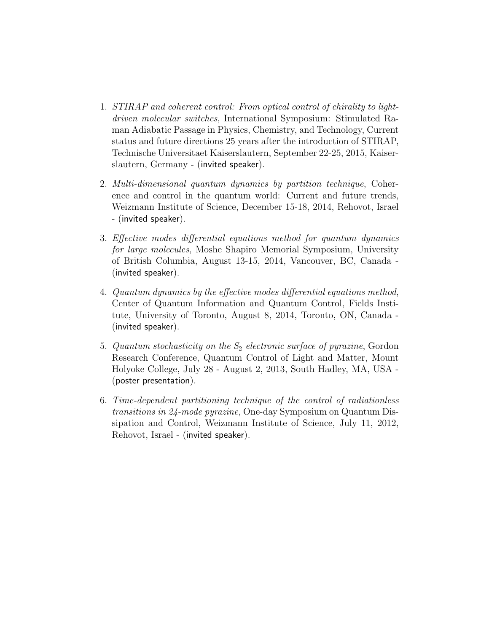- 1. STIRAP and coherent control: From optical control of chirality to lightdriven molecular switches, International Symposium: Stimulated Raman Adiabatic Passage in Physics, Chemistry, and Technology, Current status and future directions 25 years after the introduction of STIRAP, Technische Universitaet Kaiserslautern, September 22-25, 2015, Kaiserslautern, Germany - (invited speaker).
- 2. Multi-dimensional quantum dynamics by partition technique, Coherence and control in the quantum world: Current and future trends, Weizmann Institute of Science, December 15-18, 2014, Rehovot, Israel - (invited speaker).
- 3. Effective modes differential equations method for quantum dynamics for large molecules, Moshe Shapiro Memorial Symposium, University of British Columbia, August 13-15, 2014, Vancouver, BC, Canada - (invited speaker).
- 4. Quantum dynamics by the effective modes differential equations method, Center of Quantum Information and Quantum Control, Fields Institute, University of Toronto, August 8, 2014, Toronto, ON, Canada - (invited speaker).
- 5. Quantum stochasticity on the  $S_2$  electronic surface of pyrazine, Gordon Research Conference, Quantum Control of Light and Matter, Mount Holyoke College, July 28 - August 2, 2013, South Hadley, MA, USA - (poster presentation).
- 6. Time-dependent partitioning technique of the control of radiationless transitions in 24-mode pyrazine, One-day Symposium on Quantum Dissipation and Control, Weizmann Institute of Science, July 11, 2012, Rehovot, Israel - (invited speaker).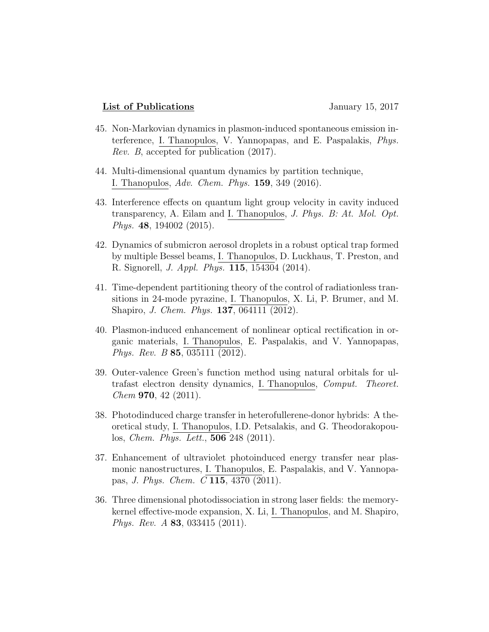#### List of Publications January 15, 2017

- 45. Non-Markovian dynamics in plasmon-induced spontaneous emission interference, I. Thanopulos, V. Yannopapas, and E. Paspalakis, Phys. Rev. B, accepted for publication (2017).
- 44. Multi-dimensional quantum dynamics by partition technique, I. Thanopulos, Adv. Chem. Phys. 159, 349 (2016).
- 43. Interference effects on quantum light group velocity in cavity induced transparency, A. Eilam and I. Thanopulos, J. Phys. B: At. Mol. Opt. *Phys.* 48, 194002 (2015).
- 42. Dynamics of submicron aerosol droplets in a robust optical trap formed by multiple Bessel beams, I. Thanopulos, D. Luckhaus, T. Preston, and R. Signorell, J. Appl. Phys. 115, 154304 (2014).
- 41. Time-dependent partitioning theory of the control of radiationless transitions in 24-mode pyrazine, I. Thanopulos, X. Li, P. Brumer, and M. Shapiro, J. Chem. Phys. 137, 064111 (2012).
- 40. Plasmon-induced enhancement of nonlinear optical rectification in organic materials, I. Thanopulos, E. Paspalakis, and V. Yannopapas, Phys. Rev. B 85, 035111 (2012).
- 39. Outer-valence Green's function method using natural orbitals for ultrafast electron density dynamics, I. Thanopulos, Comput. Theoret.  $Chem$  970, 42 (2011).
- 38. Photodinduced charge transfer in heterofullerene-donor hybrids: A theoretical study, I. Thanopulos, I.D. Petsalakis, and G. Theodorakopoulos, Chem. Phys. Lett., 506 248 (2011).
- 37. Enhancement of ultraviolet photoinduced energy transfer near plasmonic nanostructures, I. Thanopulos, E. Paspalakis, and V. Yannopapas, J. Phys. Chem. C 115, 4370 (2011).
- 36. Three dimensional photodissociation in strong laser fields: the memorykernel effective-mode expansion, X. Li, I. Thanopulos, and M. Shapiro, *Phys. Rev. A* 83, 033415 (2011).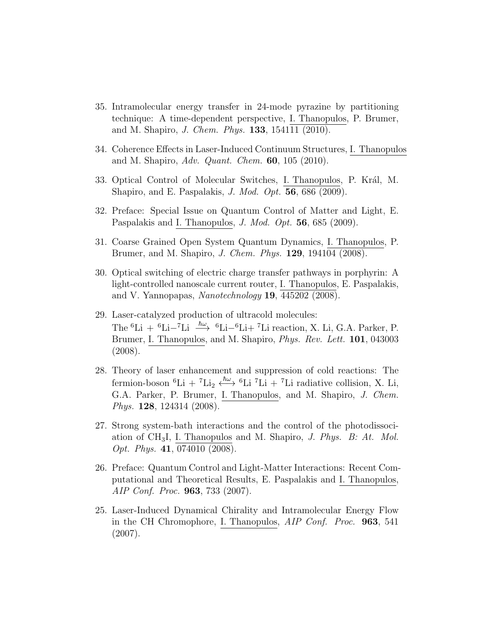- 35. Intramolecular energy transfer in 24-mode pyrazine by partitioning technique: A time-dependent perspective, I. Thanopulos, P. Brumer, and M. Shapiro, *J. Chem. Phys.* **133**, 154111 (2010).
- 34. Coherence Effects in Laser-Induced Continuum Structures, I. Thanopulos and M. Shapiro,  $Adv.$  Quant. Chem.  $60$ ,  $105$  (2010).
- 33. Optical Control of Molecular Switches, I. Thanopulos, P. Král, M. Shapiro, and E. Paspalakis, J. Mod. Opt. 56, 686 (2009).
- 32. Preface: Special Issue on Quantum Control of Matter and Light, E. Paspalakis and I. Thanopulos, *J. Mod. Opt.* **56**, 685 (2009).
- 31. Coarse Grained Open System Quantum Dynamics, I. Thanopulos, P. Brumer, and M. Shapiro, J. Chem. Phys. 129, 194104 (2008).
- 30. Optical switching of electric charge transfer pathways in porphyrin: A light-controlled nanoscale current router, I. Thanopulos, E. Paspalakis, and V. Yannopapas, Nanotechnology  $19, 445202$  (2008).
- 29. Laser-catalyzed production of ultracold molecules: The <sup>6</sup>Li + <sup>6</sup>Li–<sup>7</sup>Li  $\xrightarrow{\hbar\omega}$  <sup>6</sup>Li–<sup>6</sup>Li+<sup>7</sup>Li reaction, X. Li, G.A. Parker, P. Brumer, I. Thanopulos, and M. Shapiro, Phys. Rev. Lett. 101, 043003 (2008).
- 28. Theory of laser enhancement and suppression of cold reactions: The fermion-boson <sup>6</sup>Li + <sup>7</sup>Li<sub>2</sub>  $\xleftarrow{\hbar\omega}$  <sup>6</sup>Li <sup>7</sup>Li + <sup>7</sup>Li radiative collision, X. Li, G.A. Parker, P. Brumer, I. Thanopulos, and M. Shapiro, J. Chem. *Phys.* **128**, 124314 (2008).
- 27. Strong system-bath interactions and the control of the photodissociation of  $CH_3I$ , I. Thanopulos and M. Shapiro, J. Phys. B: At. Mol. Opt. Phys. 41, 074010 (2008).
- 26. Preface: Quantum Control and Light-Matter Interactions: Recent Computational and Theoretical Results, E. Paspalakis and I. Thanopulos, AIP Conf. Proc. 963, 733 (2007).
- 25. Laser-Induced Dynamical Chirality and Intramolecular Energy Flow in the CH Chromophore, I. Thanopulos, AIP Conf. Proc. 963, 541 (2007).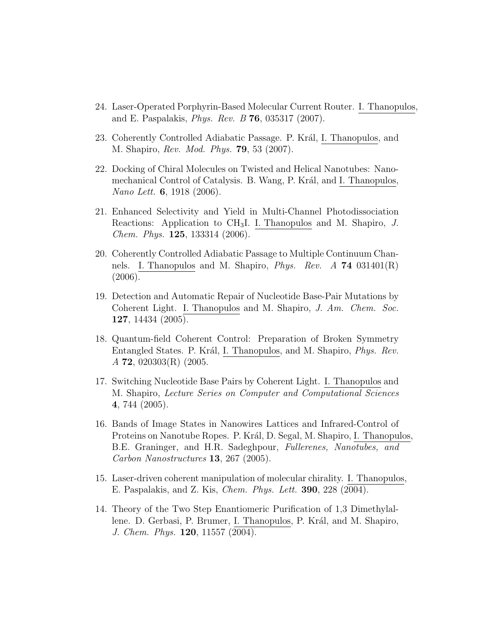- 24. Laser-Operated Porphyrin-Based Molecular Current Router. I. Thanopulos, and E. Paspalakis, *Phys. Rev. B* **76**, 035317 (2007).
- 23. Coherently Controlled Adiabatic Passage. P. Král, I. Thanopulos, and M. Shapiro, *Rev. Mod. Phys.* **79**, 53 (2007).
- 22. Docking of Chiral Molecules on Twisted and Helical Nanotubes: Nanomechanical Control of Catalysis. B. Wang, P. Král, and I. Thanopulos, Nano Lett. **6**, 1918 (2006).
- 21. Enhanced Selectivity and Yield in Multi-Channel Photodissociation Reactions: Application to  $\text{CH}_3$ I. I. Thanopulos and M. Shapiro, J. Chem. Phys. 125, 133314 (2006).
- 20. Coherently Controlled Adiabatic Passage to Multiple Continuum Channels. I. Thanopulos and M. Shapiro, *Phys. Rev. A* **74** 031401 $(R)$  $(2006).$
- 19. Detection and Automatic Repair of Nucleotide Base-Pair Mutations by Coherent Light. I. Thanopulos and M. Shapiro, J. Am. Chem. Soc. 127, 14434 (2005).
- 18. Quantum-field Coherent Control: Preparation of Broken Symmetry Entangled States. P. Král, I. Thanopulos, and M. Shapiro, Phys. Rev.  $A$  **72**, 020303(R) (2005.
- 17. Switching Nucleotide Base Pairs by Coherent Light. I. Thanopulos and M. Shapiro, Lecture Series on Computer and Computational Sciences 4, 744 (2005).
- 16. Bands of Image States in Nanowires Lattices and Infrared-Control of Proteins on Nanotube Ropes. P. Král, D. Segal, M. Shapiro, I. Thanopulos, B.E. Graninger, and H.R. Sadeghpour, Fullerenes, Nanotubes, and Carbon Nanostructures 13, 267 (2005).
- 15. Laser-driven coherent manipulation of molecular chirality. I. Thanopulos, E. Paspalakis, and Z. Kis, Chem. Phys. Lett. 390, 228 (2004).
- 14. Theory of the Two Step Enantiomeric Purification of 1,3 Dimethylallene. D. Gerbasi, P. Brumer, I. Thanopulos, P. Král, and M. Shapiro, J. Chem. Phys. 120, 11557 (2004).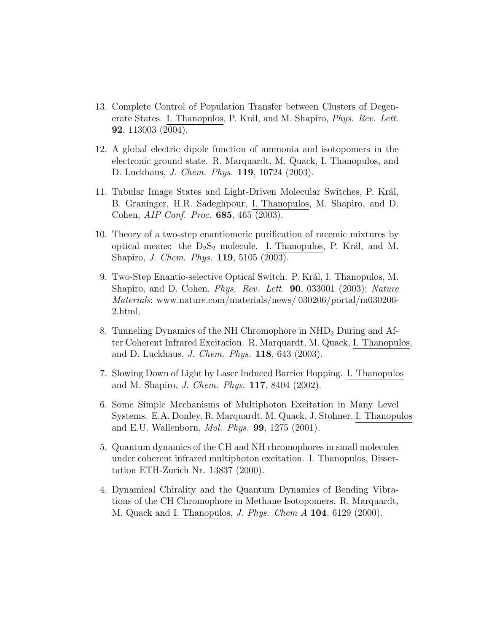- 13. Complete Control of Population Transfer between Clusters of Degenerate States. I. Thanopulos, P. Král, and M. Shapiro, *Phys. Rev. Lett.* 92, 113003 (2004).
- 12. A global electric dipole function of ammonia and isotopomers in the electronic ground state. R. Marquardt, M. Quack, I. Thanopulos, and D. Luckhaus, J. Chem. Phys. 119, 10724 (2003).
- 11. Tubular Image States and Light-Driven Molecular Switches, P. Král, B. Graninger, H.R. Sadeghpour, I. Thanopulos, M. Shapiro, and D. Cohen, AIP Conf. Proc. 685, 465 (2003).
- 10. Theory of a two-step enantiomeric purification of racemic mixtures by optical means: the  $D_2S_2$  molecule. I. Thanopulos, P. Král, and M. Shapiro, J. Chem. Phys. 119, 5105 (2003).
- 9. Two-Step Enantio-selective Optical Switch. P. Král, I. Thanopulos, M. Shapiro, and D. Cohen, *Phys. Rev. Lett.* **90**, 033001 (2003); Nature Materials: www.nature.com/materials/news/ 030206/portal/m030206- 2.html.
- 8. Tunneling Dynamics of the NH Chromophore in NHD<sup>2</sup> During and After Coherent Infrared Excitation. R. Marquardt, M. Quack, I. Thanopulos, and D. Luckhaus, J. Chem. Phys. 118, 643 (2003).
- 7. Slowing Down of Light by Laser Induced Barrier Hopping. I. Thanopulos and M. Shapiro, J. Chem. Phys. 117, 8404 (2002).
- 6. Some Simple Mechanisms of Multiphoton Excitation in Many Level Systems. E.A. Donley, R. Marquardt, M. Quack, J. Stohner, I. Thanopulos and E.U. Wallenborn, *Mol. Phys.* **99**, 1275  $(2001)$ .
- 5. Quantum dynamics of the CH and NH chromophores in small molecules under coherent infrared multiphoton excitation. I. Thanopulos, Dissertation ETH-Zurich Nr. 13837 (2000).
- 4. Dynamical Chirality and the Quantum Dynamics of Bending Vibrations of the CH Chromophore in Methane Isotopomers. R. Marquardt, M. Quack and I. Thanopulos, *J. Phys. Chem A* **104**, 6129 (2000).